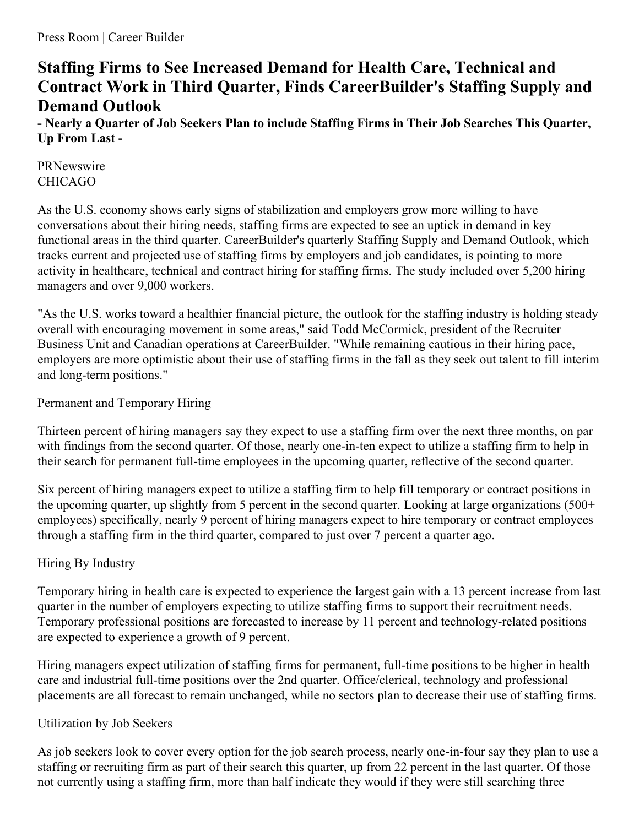# **Staffing Firms to See Increased Demand for Health Care, Technical and Contract Work in Third Quarter, Finds CareerBuilder's Staffing Supply and Demand Outlook**

- Nearly a Quarter of Job Seekers Plan to include Staffing Firms in Their Job Searches This Quarter, **Up From Last -**

PRNewswire CHICAGO

As the U.S. economy shows early signs of stabilization and employers grow more willing to have conversations about their hiring needs, staffing firms are expected to see an uptick in demand in key functional areas in the third quarter. CareerBuilder's quarterly Staffing Supply and Demand Outlook, which tracks current and projected use of staffing firms by employers and job candidates, is pointing to more activity in healthcare, technical and contract hiring for staffing firms. The study included over 5,200 hiring managers and over 9,000 workers.

"As the U.S. works toward a healthier financial picture, the outlook for the staffing industry is holding steady overall with encouraging movement in some areas," said Todd McCormick, president of the Recruiter Business Unit and Canadian operations at CareerBuilder. "While remaining cautious in their hiring pace, employers are more optimistic about their use of staffing firms in the fall as they seek out talent to fill interim and long-term positions."

Permanent and Temporary Hiring

Thirteen percent of hiring managers say they expect to use a staffing firm over the next three months, on par with findings from the second quarter. Of those, nearly one-in-ten expect to utilize a staffing firm to help in their search for permanent full-time employees in the upcoming quarter, reflective of the second quarter.

Six percent of hiring managers expect to utilize a staffing firm to help fill temporary or contract positions in the upcoming quarter, up slightly from 5 percent in the second quarter. Looking at large organizations (500+ employees) specifically, nearly 9 percent of hiring managers expect to hire temporary or contract employees through a staffing firm in the third quarter, compared to just over 7 percent a quarter ago.

# Hiring By Industry

Temporary hiring in health care is expected to experience the largest gain with a 13 percent increase from last quarter in the number of employers expecting to utilize staffing firms to support their recruitment needs. Temporary professional positions are forecasted to increase by 11 percent and technology-related positions are expected to experience a growth of 9 percent.

Hiring managers expect utilization of staffing firms for permanent, full-time positions to be higher in health care and industrial full-time positions over the 2nd quarter. Office/clerical, technology and professional placements are all forecast to remain unchanged, while no sectors plan to decrease their use of staffing firms.

## Utilization by Job Seekers

As job seekers look to cover every option for the job search process, nearly one-in-four say they plan to use a staffing or recruiting firm as part of their search this quarter, up from 22 percent in the last quarter. Of those not currently using a staffing firm, more than half indicate they would if they were still searching three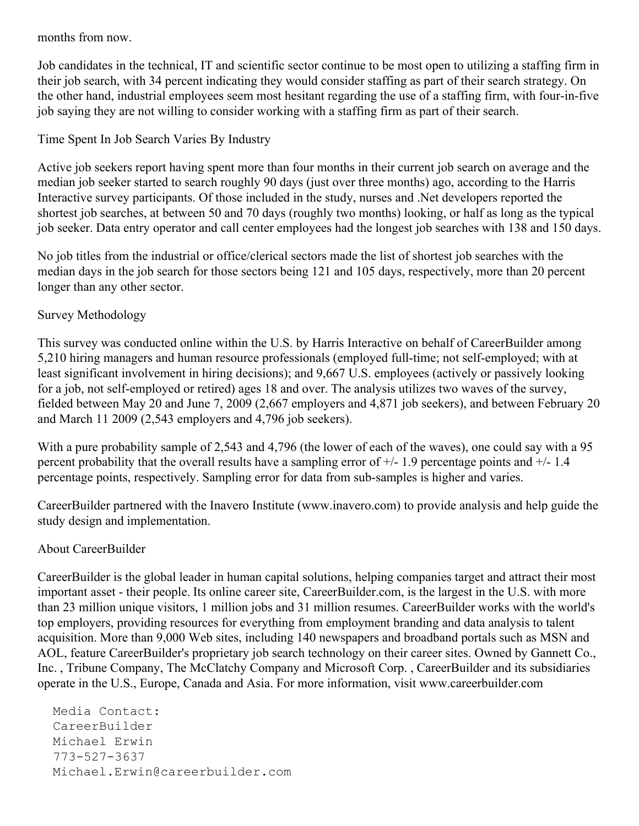months from now.

Job candidates in the technical, IT and scientific sector continue to be most open to utilizing a staffing firm in their job search, with 34 percent indicating they would consider staffing as part of their search strategy. On the other hand, industrial employees seem most hesitant regarding the use of a staffing firm, with four-in-five job saying they are not willing to consider working with a staffing firm as part of their search.

# Time Spent In Job Search Varies By Industry

Active job seekers report having spent more than four months in their current job search on average and the median job seeker started to search roughly 90 days (just over three months) ago, according to the Harris Interactive survey participants. Of those included in the study, nurses and .Net developers reported the shortest job searches, at between 50 and 70 days (roughly two months) looking, or half as long as the typical job seeker. Data entry operator and call center employees had the longest job searches with 138 and 150 days.

No job titles from the industrial or office/clerical sectors made the list of shortest job searches with the median days in the job search for those sectors being 121 and 105 days, respectively, more than 20 percent longer than any other sector.

## Survey Methodology

This survey was conducted online within the U.S. by Harris Interactive on behalf of CareerBuilder among 5,210 hiring managers and human resource professionals (employed full-time; not self-employed; with at least significant involvement in hiring decisions); and 9,667 U.S. employees (actively or passively looking for a job, not self-employed or retired) ages 18 and over. The analysis utilizes two waves of the survey, fielded between May 20 and June 7, 2009 (2,667 employers and 4,871 job seekers), and between February 20 and March 11 2009 (2,543 employers and 4,796 job seekers).

With a pure probability sample of 2,543 and 4,796 (the lower of each of the waves), one could say with a 95 percent probability that the overall results have a sampling error of  $+/- 1.9$  percentage points and  $+/- 1.4$ percentage points, respectively. Sampling error for data from sub-samples is higher and varies.

CareerBuilder partnered with the Inavero Institute (www.inavero.com) to provide analysis and help guide the study design and implementation.

## About CareerBuilder

CareerBuilder is the global leader in human capital solutions, helping companies target and attract their most important asset - their people. Its online career site, CareerBuilder.com, is the largest in the U.S. with more than 23 million unique visitors, 1 million jobs and 31 million resumes. CareerBuilder works with the world's top employers, providing resources for everything from employment branding and data analysis to talent acquisition. More than 9,000 Web sites, including 140 newspapers and broadband portals such as MSN and AOL, feature CareerBuilder's proprietary job search technology on their career sites. Owned by Gannett Co., Inc. , Tribune Company, The McClatchy Company and Microsoft Corp. , CareerBuilder and its subsidiaries operate in the U.S., Europe, Canada and Asia. For more information, visit www.careerbuilder.com

Media Contact: CareerBuilder Michael Erwin 773-527-3637 Michael.Erwin@careerbuilder.com